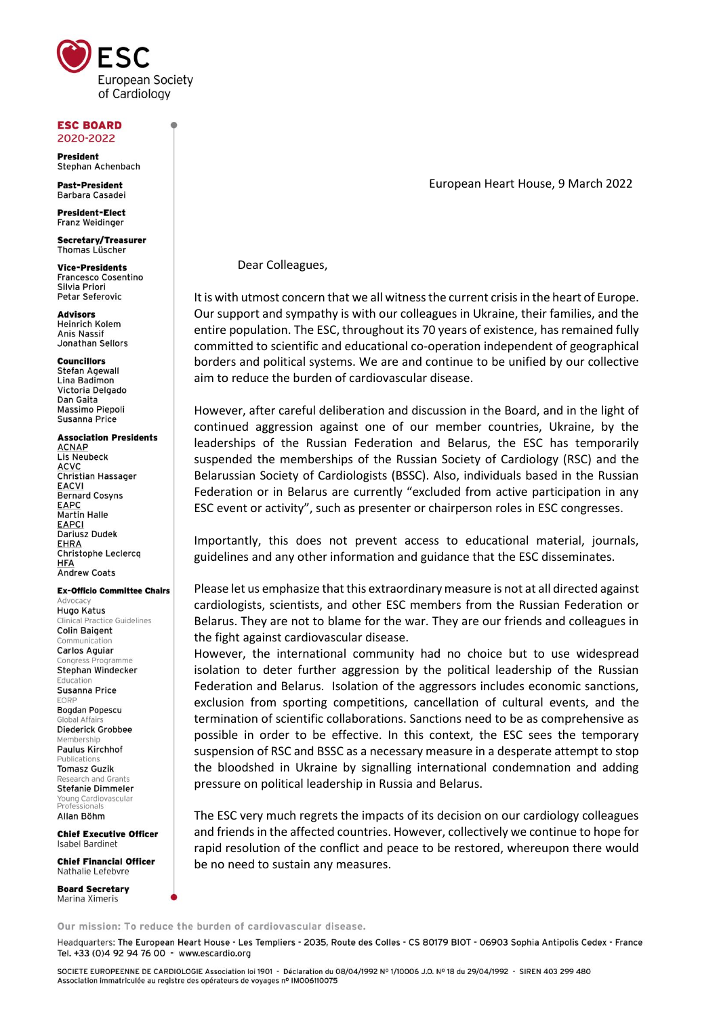

#### **ESC BOARD** 2020-2022

**President** Stephan Achenbach

**Past-President** Barbara Casadei

**President-Elect Franz Weidinger** 

Secretary/Treasurer Thomas Lüscher

**Vice-Presidents Francesco Cosentino** Silvia Priori **Petar Seferovic** 

**Advisors Heinrich Kolem Anis Nassif** Jonathan Sellors

### **Councillors**

Stefan Anewall Lina Badimon Victoria Delgado Dan Gaita Massimo Piepoli Susanna Price

# **Association Presidents**

**ACNAP Lis Neubeck ACVC** Christian Hassager **EACVI** Bernard Cosyns EAPC **Martin Halle EAPCI** Dariusz Dudek **EHRA** Christophe Leclercq **HFA Andrew Coats** 

#### **Ex-Officio Committee Chairs**

Advoca **Hugo Katus Clinical Practice Guidelines Colin Baigent** Communication Carlos Aguiar ogramme Congress Stephan Windecker Education Susanna Price EORP **Bogdan Popescu** Global Affai **Diederick Grobbee** Membershi Paulus Kirchhof Publication: **Tomasz Guzik** Research and Grants **Stefanie Dimmeler** 'oung Cardiovasculai<br>'rofessionals Allan Böhm

**Chief Executive Officer** Isabel Bardinet

**Chief Financial Officer** Nathalie Lefebyre

**Board Secretary** Marina Ximeris

European Heart House, 9 March 2022

Dear Colleagues,

It is with utmost concern that we all witness the current crisis in the heart of Europe. Our support and sympathy is with our colleagues in Ukraine, their families, and the entire population. The ESC, throughout its 70 years of existence, has remained fully committed to scientific and educational co-operation independent of geographical borders and political systems. We are and continue to be unified by our collective aim to reduce the burden of cardiovascular disease.

However, after careful deliberation and discussion in the Board, and in the light of continued aggression against one of our member countries, Ukraine, by the leaderships of the Russian Federation and Belarus, the ESC has temporarily suspended the memberships of the Russian Society of Cardiology (RSC) and the Belarussian Society of Cardiologists (BSSC). Also, individuals based in the Russian Federation or in Belarus are currently "excluded from active participation in any ESC event or activity", such as presenter or chairperson roles in ESC congresses.

Importantly, this does not prevent access to educational material, journals, guidelines and any other information and guidance that the ESC disseminates.

Please let us emphasize that this extraordinary measure is not at all directed against cardiologists, scientists, and other ESC members from the Russian Federation or Belarus. They are not to blame for the war. They are our friends and colleagues in the fight against cardiovascular disease.

However, the international community had no choice but to use widespread isolation to deter further aggression by the political leadership of the Russian Federation and Belarus. Isolation of the aggressors includes economic sanctions, exclusion from sporting competitions, cancellation of cultural events, and the termination of scientific collaborations. Sanctions need to be as comprehensive as possible in order to be effective. In this context, the ESC sees the temporary suspension of RSC and BSSC as a necessary measure in a desperate attempt to stop the bloodshed in Ukraine by signalling international condemnation and adding pressure on political leadership in Russia and Belarus.

The ESC very much regrets the impacts of its decision on our cardiology colleagues and friends in the affected countries. However, collectively we continue to hope for rapid resolution of the conflict and peace to be restored, whereupon there would be no need to sustain any measures.

Our mission: To reduce the burden of cardiovascular disease.

Headquarters: The European Heart House - Les Templiers - 2035, Route des Colles - CS 80179 BIOT - 06903 Sophia Antipolis Cedex - France Tel. +33 (0)4 92 94 76 00 - www.escardio.org

SOCIETE EUROPEENNE DE CARDIOLOGIE Association loi 1901 - Déclaration du 08/04/1992 Nº 1/10006 J.O. Nº 18 du 29/04/1992 - SIREN 403 299 480 Association immatriculée au registre des opérateurs de voyages nº IM006110075